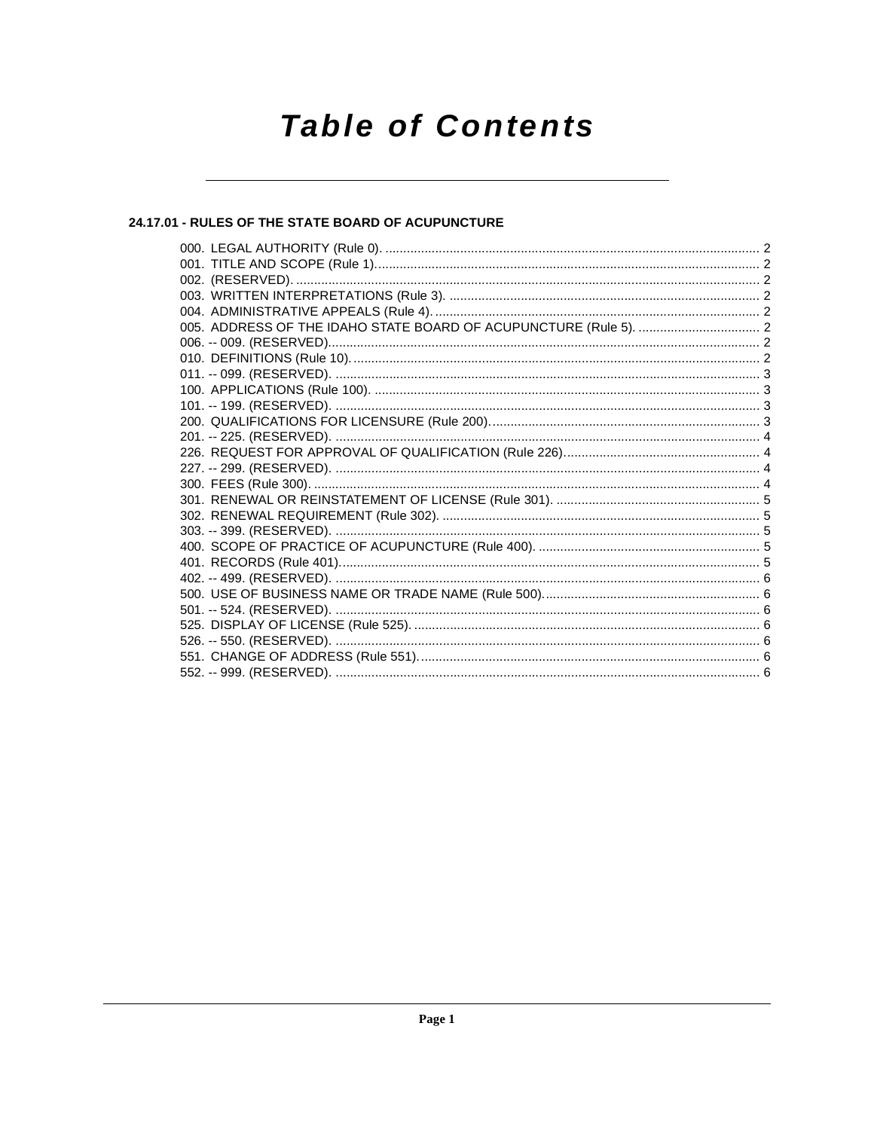## **Table of Contents**

### 24.17.01 - RULES OF THE STATE BOARD OF ACUPUNCTURE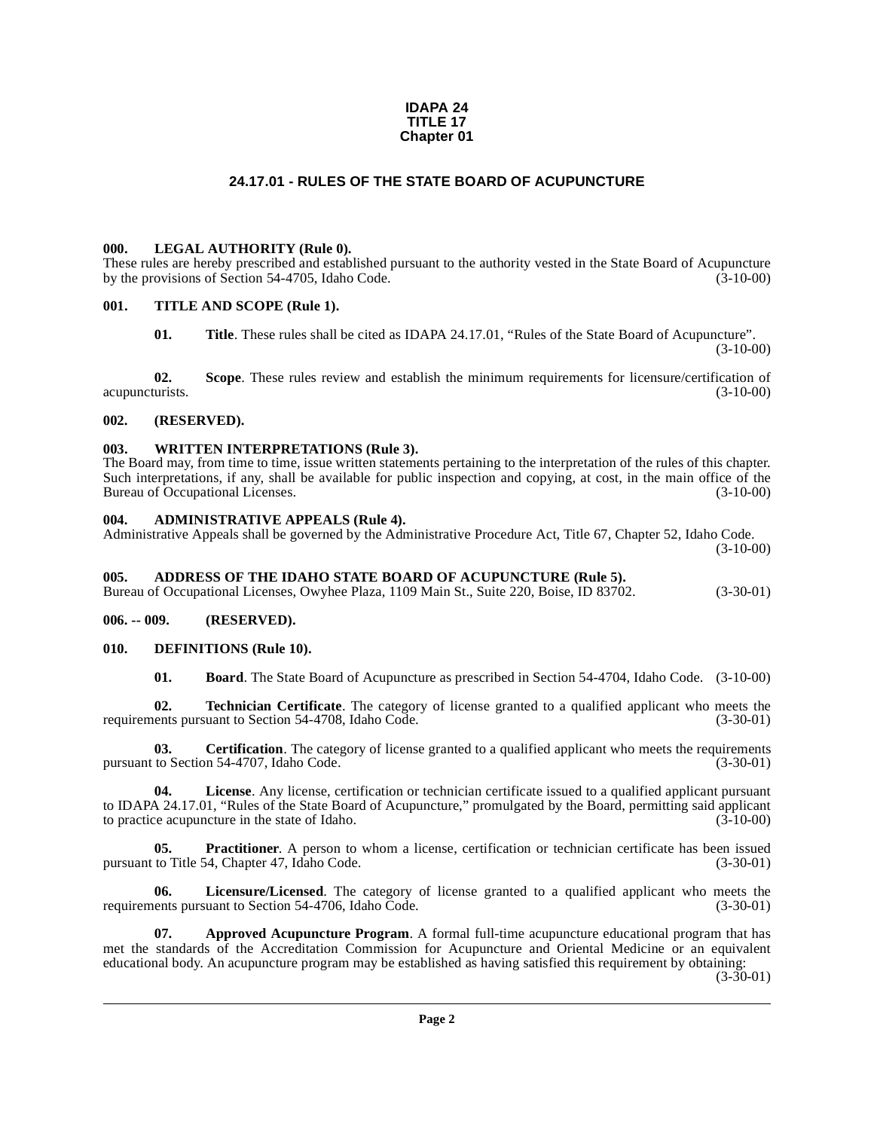#### **IDAPA 24 TITLE 17 Chapter 01**

#### **24.17.01 - RULES OF THE STATE BOARD OF ACUPUNCTURE**

#### <span id="page-1-1"></span><span id="page-1-0"></span>**000. LEGAL AUTHORITY (Rule 0).**

These rules are hereby prescribed and established pursuant to the authority vested in the State Board of Acupuncture by the provisions of Section 54-4705. Idaho Code. (3-10-00) by the provisions of Section  $54-4705$ , Idaho Code.

#### <span id="page-1-2"></span>**001. TITLE AND SCOPE (Rule 1).**

**01. Title**. These rules shall be cited as IDAPA 24.17.01, "Rules of the State Board of Acupuncture".  $(3-10-00)$ 

**02. Scope**. These rules review and establish the minimum requirements for licensure/certification of acupuncturists. (3-10-00)

#### <span id="page-1-3"></span>**002. (RESERVED).**

#### <span id="page-1-4"></span>**003. WRITTEN INTERPRETATIONS (Rule 3).**

The Board may, from time to time, issue written statements pertaining to the interpretation of the rules of this chapter. Such interpretations, if any, shall be available for public inspection and copying, at cost, in the main office of the Bureau of Occupational Licenses. (3-10-00) Bureau of Occupational Licenses.

#### <span id="page-1-5"></span>**004. ADMINISTRATIVE APPEALS (Rule 4).**

Administrative Appeals shall be governed by the Administrative Procedure Act, Title 67, Chapter 52, Idaho Code.  $(3-10-00)$ 

#### <span id="page-1-6"></span>**005. ADDRESS OF THE IDAHO STATE BOARD OF ACUPUNCTURE (Rule 5).**

Bureau of Occupational Licenses, Owyhee Plaza, 1109 Main St., Suite 220, Boise, ID 83702. (3-30-01)

<span id="page-1-7"></span>**006. -- 009. (RESERVED).**

#### <span id="page-1-8"></span>**010. DEFINITIONS (Rule 10).**

<span id="page-1-14"></span><span id="page-1-11"></span><span id="page-1-10"></span>**01. Board**. The State Board of Acupuncture as prescribed in Section 54-4704, Idaho Code. (3-10-00)

**02. Technician Certificate**. The category of license granted to a qualified applicant who meets the requirements pursuant to Section 54-4708, Idaho Code. (3-30-01)

**03. Certification**. The category of license granted to a qualified applicant who meets the requirements to Section 54-4707, Idaho Code. (3-30-01) pursuant to Section 54-4707, Idaho Code.

**04. License**. Any license, certification or technician certificate issued to a qualified applicant pursuant to IDAPA 24.17.01, "Rules of the State Board of Acupuncture," promulgated by the Board, permitting said applicant to practice acupuncture in the state of Idaho. (3-10-00)

<span id="page-1-13"></span>**05. Practitioner**. A person to whom a license, certification or technician certificate has been issued pursuant to Title 54, Chapter 47, Idaho Code. (3-30-01)

<span id="page-1-12"></span>**06.** Licensure/Licensed. The category of license granted to a qualified applicant who meets the ents pursuant to Section 54-4706, Idaho Code. (3-30-01) requirements pursuant to Section 54-4706, Idaho Code.

<span id="page-1-9"></span>**07. Approved Acupuncture Program**. A formal full-time acupuncture educational program that has met the standards of the Accreditation Commission for Acupuncture and Oriental Medicine or an equivalent educational body. An acupuncture program may be established as having satisfied this requirement by obtaining:

 $(3-30-01)$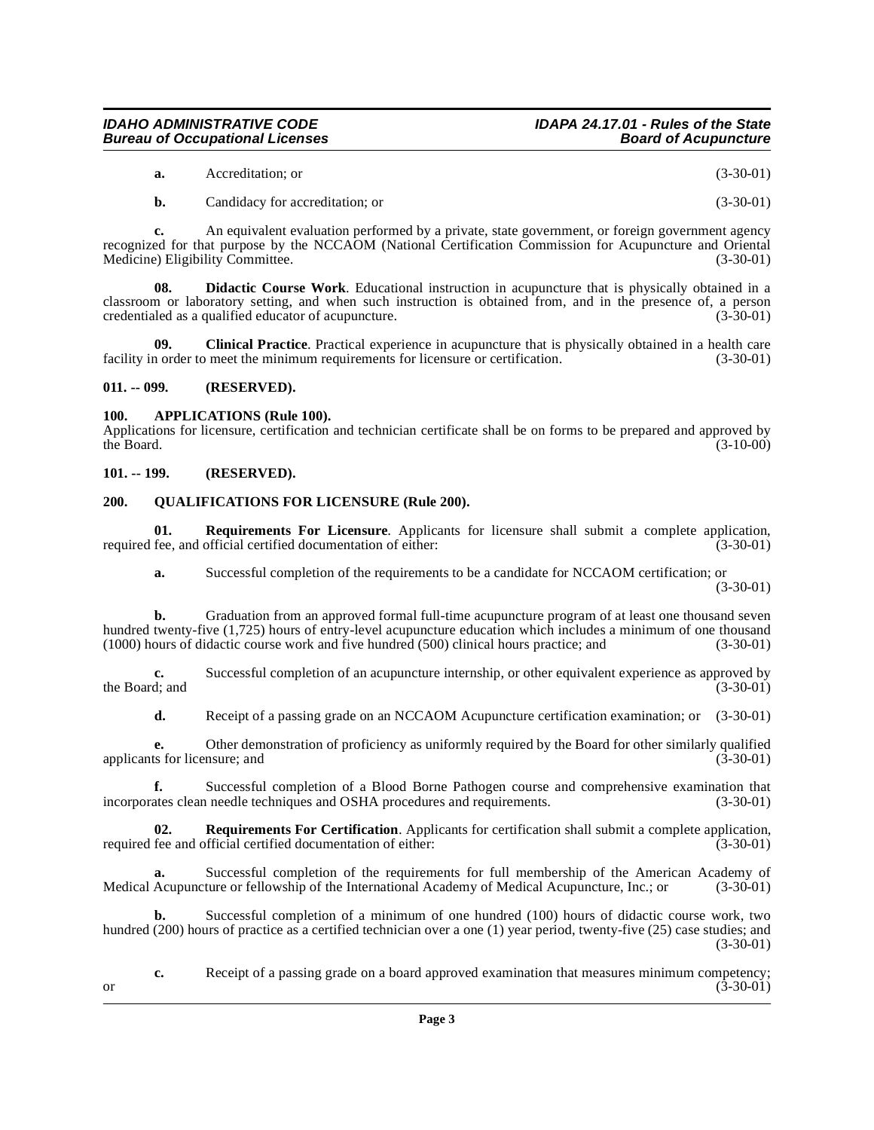#### **IDAHO ADMINISTRATIVE CODE IDAPA 24.17.01 - Rules of the State Bureau of Occupational Licenses**

- **a.** Accreditation; or (3-30-01)
- <span id="page-2-5"></span>**b.** Candidacy for accreditation; or (3-30-01)

**c.** An equivalent evaluation performed by a private, state government, or foreign government agency recognized for that purpose by the NCCAOM (National Certification Commission for Acupuncture and Oriental Medicine) Eligibility Committee. Medicine) Eligibility Committee.

**08. Didactic Course Work**. Educational instruction in acupuncture that is physically obtained in a classroom or laboratory setting, and when such instruction is obtained from, and in the presence of, a person credentialed as a qualified educator of acupuncture. (3-30-01)

**09.** Clinical Practice. Practical experience in acupuncture that is physically obtained in a health care n order to meet the minimum requirements for licensure or certification. (3-30-01) facility in order to meet the minimum requirements for licensure or certification.

#### <span id="page-2-0"></span>**011. -- 099. (RESERVED).**

#### <span id="page-2-4"></span><span id="page-2-1"></span>**100. APPLICATIONS (Rule 100).**

Applications for licensure, certification and technician certificate shall be on forms to be prepared and approved by the Board. (3-10-00) the Board.  $(3-10-00)$ 

#### <span id="page-2-2"></span>**101. -- 199. (RESERVED).**

#### <span id="page-2-6"></span><span id="page-2-3"></span>**200. QUALIFICATIONS FOR LICENSURE (Rule 200).**

**01.** Requirements For Licensure. Applicants for licensure shall submit a complete application, fee, and official certified documentation of either: (3-30-01) required fee, and official certified documentation of either:

<span id="page-2-8"></span>**a.** Successful completion of the requirements to be a candidate for NCCAOM certification; or (3-30-01)

**b.** Graduation from an approved formal full-time acupuncture program of at least one thousand seven hundred twenty-five (1,725) hours of entry-level acupuncture education which includes a minimum of one thousand<br>(1000) hours of didactic course work and five hundred (500) clinical hours practice: and (3-30-01)  $(1000)$  hours of didactic course work and five hundred  $(500)$  clinical hours practice; and

**c.** Successful completion of an acupuncture internship, or other equivalent experience as approved by the Board; and (3-30-01) the Board; and  $(3-30-01)$ 

**d.** Receipt of a passing grade on an NCCAOM Acupuncture certification examination; or (3-30-01)

**e.** Other demonstration of proficiency as uniformly required by the Board for other similarly qualified ts for licensure; and (3-30-01) applicants for licensure; and

**f.** Successful completion of a Blood Borne Pathogen course and comprehensive examination that ates clean needle techniques and OSHA procedures and requirements. (3-30-01) incorporates clean needle techniques and OSHA procedures and requirements.

<span id="page-2-7"></span>**02.** Requirements For Certification. Applicants for certification shall submit a complete application, fee and official certified documentation of either: (3-30-01) required fee and official certified documentation of either:

Successful completion of the requirements for full membership of the American Academy of the International Academy of Medical Acupuncture. Inc.: or (3-30-01) Medical Acupuncture or fellowship of the International Academy of Medical Acupuncture, Inc.; or

**b.** Successful completion of a minimum of one hundred (100) hours of didactic course work, two hundred (200) hours of practice as a certified technician over a one (1) year period, twenty-five (25) case studies; and  $(3-30-01)$ 

**c.** Receipt of a passing grade on a board approved examination that measures minimum competency;<br>(3-30-01) or  $(3-30-01)$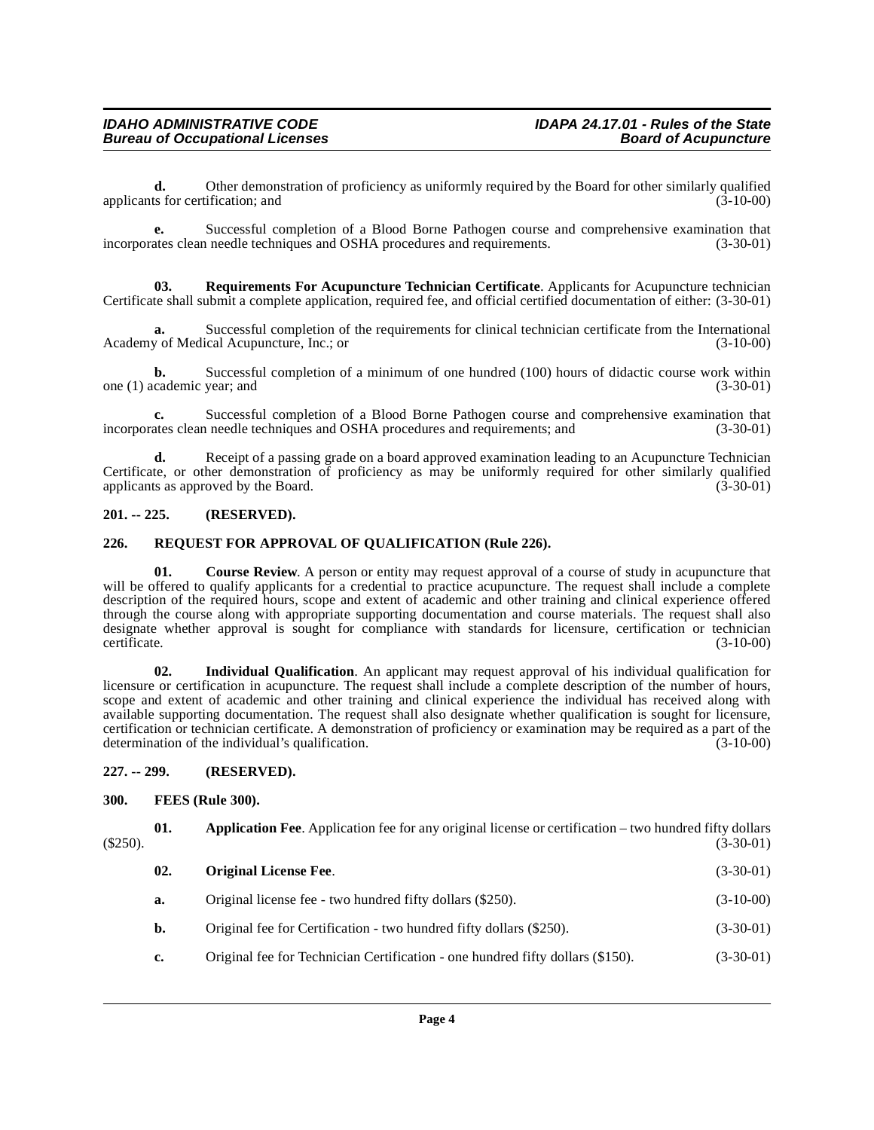**d.** Other demonstration of proficiency as uniformly required by the Board for other similarly qualified ts for certification: and  $(3-10-00)$ applicants for certification; and

**e.** Successful completion of a Blood Borne Pathogen course and comprehensive examination that ates clean needle techniques and OSHA procedures and requirements. (3-30-01) incorporates clean needle techniques and OSHA procedures and requirements.

<span id="page-3-9"></span>**03. Requirements For Acupuncture Technician Certificate**. Applicants for Acupuncture technician Certificate shall submit a complete application, required fee, and official certified documentation of either: (3-30-01)

**a.** Successful completion of the requirements for clinical technician certificate from the International y of Medical Acupuncture, Inc.; or Academy of Medical Acupuncture, Inc.; or

**b.** Successful completion of a minimum of one hundred (100) hours of didactic course work within cademic year: and (3-30-01) one  $(1)$  academic year; and

**c.** Successful completion of a Blood Borne Pathogen course and comprehensive examination that ates clean needle techniques and OSHA procedures and requirements; and  $(3-30-01)$ incorporates clean needle techniques and OSHA procedures and requirements; and

**d.** Receipt of a passing grade on a board approved examination leading to an Acupuncture Technician Certificate, or other demonstration of proficiency as may be uniformly required for other similarly qualified applicants as approved by the Board.  $(3-30-01)$ 

#### <span id="page-3-0"></span>**201. -- 225. (RESERVED).**

#### <span id="page-3-8"></span><span id="page-3-1"></span>**226. REQUEST FOR APPROVAL OF QUALIFICATION (Rule 226).**

<span id="page-3-5"></span>**01.** Course Review. A person or entity may request approval of a course of study in acupuncture that will be offered to qualify applicants for a credential to practice acupuncture. The request shall include a complete description of the required hours, scope and extent of academic and other training and clinical experience offered through the course along with appropriate supporting documentation and course materials. The request shall also designate whether approval is sought for compliance with standards for licensure, certification or technician certificate. (3-10-00) certificate. (3-10-00)

**02. Individual Qualification**. An applicant may request approval of his individual qualification for licensure or certification in acupuncture. The request shall include a complete description of the number of hours, scope and extent of academic and other training and clinical experience the individual has received along with available supporting documentation. The request shall also designate whether qualification is sought for licensure, certification or technician certificate. A demonstration of proficiency or examination may be required as a part of the determination of the individual's qualification. (3-10-00)

#### <span id="page-3-2"></span>**227. -- 299. (RESERVED).**

#### <span id="page-3-6"></span><span id="page-3-3"></span>**300. FEES (Rule 300).**

**01. Application Fee**. Application fee for any original license or certification – two hundred fifty dollars (3-30-01)  $(3-30-01)$  (3-30-01)

<span id="page-3-7"></span><span id="page-3-4"></span>

| 02.           | <b>Original License Fee.</b>                                                   | $(3-30-01)$ |
|---------------|--------------------------------------------------------------------------------|-------------|
| а.            | Original license fee - two hundred fifty dollars (\$250).                      | $(3-10-00)$ |
| b.            | Original fee for Certification - two hundred fifty dollars (\$250).            | $(3-30-01)$ |
| $c_{\bullet}$ | Original fee for Technician Certification - one hundred fifty dollars (\$150). | $(3-30-01)$ |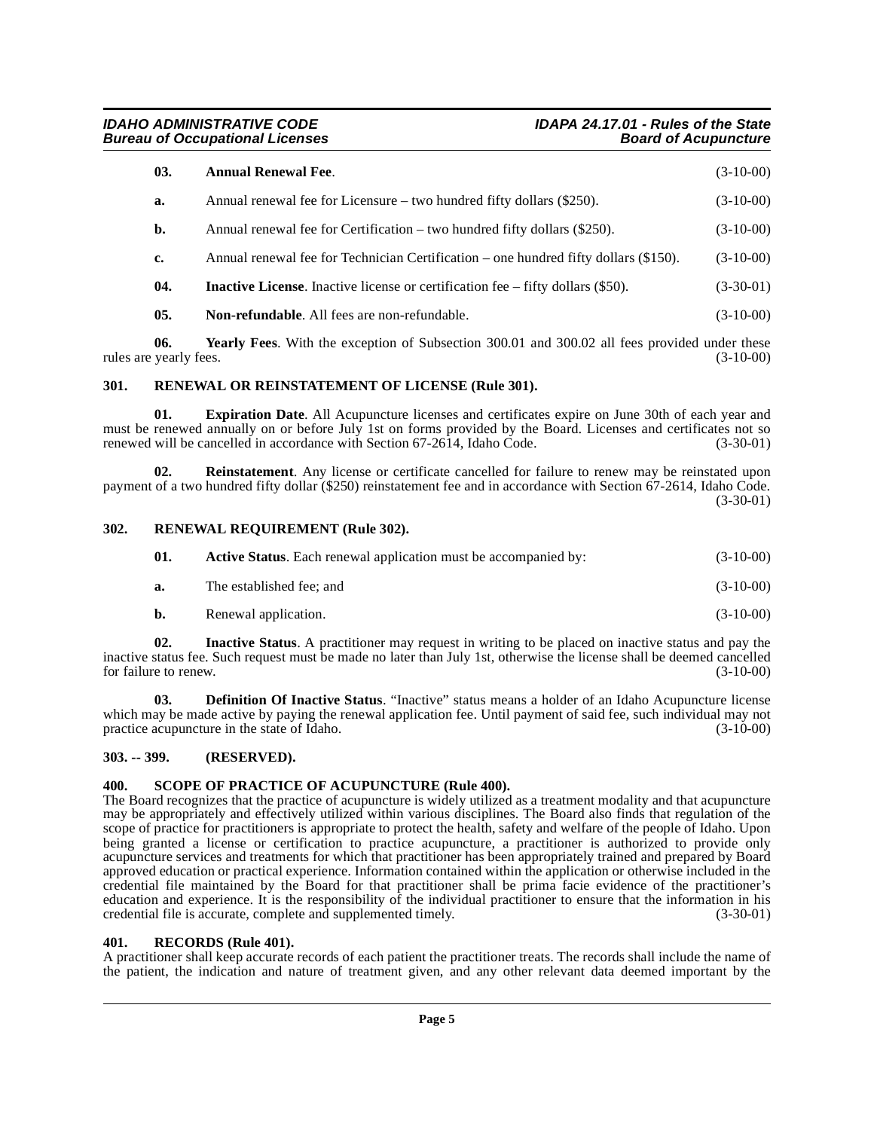**IDAHO ADMINISTRATIVE CODE IDAPA 24.17.01 - Rules of the State Bureau of Occupational Licenses** 

<span id="page-4-8"></span><span id="page-4-6"></span>

| 03. | <b>Annual Renewal Fee.</b>                                                                  | $(3-10-00)$ |
|-----|---------------------------------------------------------------------------------------------|-------------|
| a.  | Annual renewal fee for Licensure – two hundred fifty dollars $(\$250)$ .                    | $(3-10-00)$ |
| b.  | Annual renewal fee for Certification – two hundred fifty dollars $(\$250)$ .                | $(3-10-00)$ |
| c.  | Annual renewal fee for Technician Certification – one hundred fifty dollars $(\$150)$ .     | $(3-10-00)$ |
| 04. | <b>Inactive License.</b> Inactive license or certification fee $-$ fifty dollars $(\$50)$ . | $(3-30-01)$ |
| 05. | <b>Non-refundable.</b> All fees are non-refundable.                                         | $(3-10-00)$ |

<span id="page-4-10"></span>**06.** Yearly Fees. With the exception of Subsection 300.01 and 300.02 all fees provided under these yearly fees. (3-10-00) rules are yearly fees.

#### <span id="page-4-13"></span><span id="page-4-0"></span>**301. RENEWAL OR REINSTATEMENT OF LICENSE (Rule 301).**

**Expiration Date.** All Acupuncture licenses and certificates expire on June 30th of each year and must be renewed annually on or before July 1st on forms provided by the Board. Licenses and certificates not so<br>renewed will be cancelled in accordance with Section 67-2614. Idaho Code. (3-30-01) renewed will be cancelled in accordance with Section  $67-2614$ , Idaho Code.

<span id="page-4-12"></span>**02. Reinstatement**. Any license or certificate cancelled for failure to renew may be reinstated upon payment of a two hundred fifty dollar (\$250) reinstatement fee and in accordance with Section 67-2614, Idaho Code.  $(3-30-01)$ 

#### <span id="page-4-1"></span>**302. RENEWAL REQUIREMENT (Rule 302).**

<span id="page-4-14"></span><span id="page-4-9"></span><span id="page-4-5"></span>

| 01. | <b>Active Status.</b> Each renewal application must be accompanied by: | $(3-10-00)$ |
|-----|------------------------------------------------------------------------|-------------|
| а.  | The established fee: and                                               | $(3-10-00)$ |
|     | Renewal application.                                                   | $(3-10-00)$ |

**02. Inactive Status**. A practitioner may request in writing to be placed on inactive status and pay the inactive status fee. Such request must be made no later than July 1st, otherwise the license shall be deemed cancelled for failure to renew.

<span id="page-4-7"></span>**03. Definition Of Inactive Status**. "Inactive" status means a holder of an Idaho Acupuncture license which may be made active by paying the renewal application fee. Until payment of said fee, such individual may not practice acupuncture in the state of Idaho. practice acupuncture in the state of Idaho.

#### <span id="page-4-2"></span>**303. -- 399. (RESERVED).**

#### <span id="page-4-15"></span><span id="page-4-3"></span>**400. SCOPE OF PRACTICE OF ACUPUNCTURE (Rule 400).**

The Board recognizes that the practice of acupuncture is widely utilized as a treatment modality and that acupuncture may be appropriately and effectively utilized within various disciplines. The Board also finds that regulation of the scope of practice for practitioners is appropriate to protect the health, safety and welfare of the people of Idaho. Upon being granted a license or certification to practice acupuncture, a practitioner is authorized to provide only acupuncture services and treatments for which that practitioner has been appropriately trained and prepared by Board approved education or practical experience. Information contained within the application or otherwise included in the credential file maintained by the Board for that practitioner shall be prima facie evidence of the practitioner's education and experience. It is the responsibility of the individual practitioner to ensure that the information in his credential file is accurate, complete and supplemented timely. (3-30-01)

#### <span id="page-4-11"></span><span id="page-4-4"></span>**401. RECORDS (Rule 401).**

A practitioner shall keep accurate records of each patient the practitioner treats. The records shall include the name of the patient, the indication and nature of treatment given, and any other relevant data deemed important by the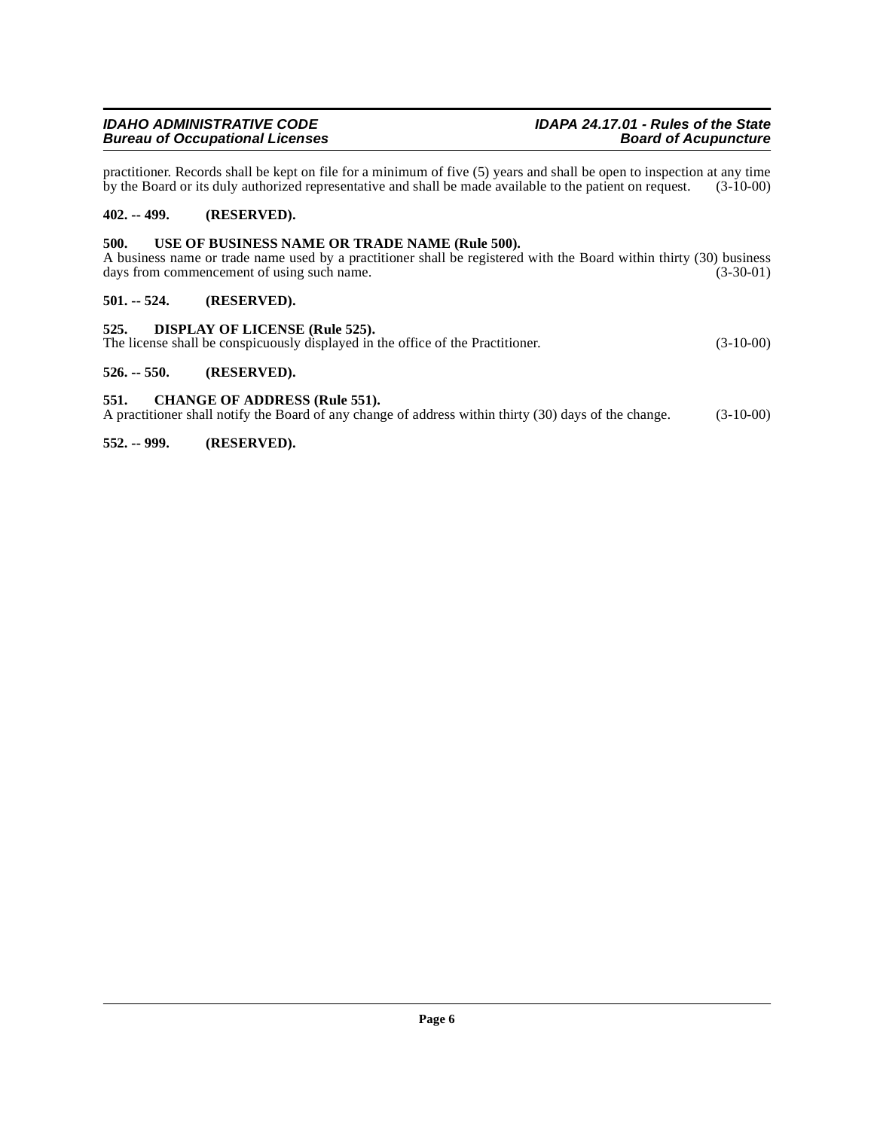### **Bureau of Occupational Licenses**

practitioner. Records shall be kept on file for a minimum of five (5) years and shall be open to inspection at any time by the Board or its duly authorized representative and shall be made available to the patient on request. (3-10-00)

#### <span id="page-5-0"></span>**402. -- 499. (RESERVED).**

#### <span id="page-5-9"></span><span id="page-5-1"></span>**500. USE OF BUSINESS NAME OR TRADE NAME (Rule 500).**

A business name or trade name used by a practitioner shall be registered with the Board within thirty (30) business days from commencement of using such name. days from commencement of using such name.

#### <span id="page-5-2"></span>**501. -- 524. (RESERVED).**

<span id="page-5-8"></span><span id="page-5-3"></span>**525. DISPLAY OF LICENSE (Rule 525).** The license shall be conspicuously displayed in the office of the Practitioner. (3-10-00)

#### <span id="page-5-4"></span>**526. -- 550. (RESERVED).**

<span id="page-5-7"></span><span id="page-5-5"></span>**551. CHANGE OF ADDRESS (Rule 551).**

A practitioner shall notify the Board of any change of address within thirty (30) days of the change. (3-10-00)

<span id="page-5-6"></span>**552. -- 999. (RESERVED).**